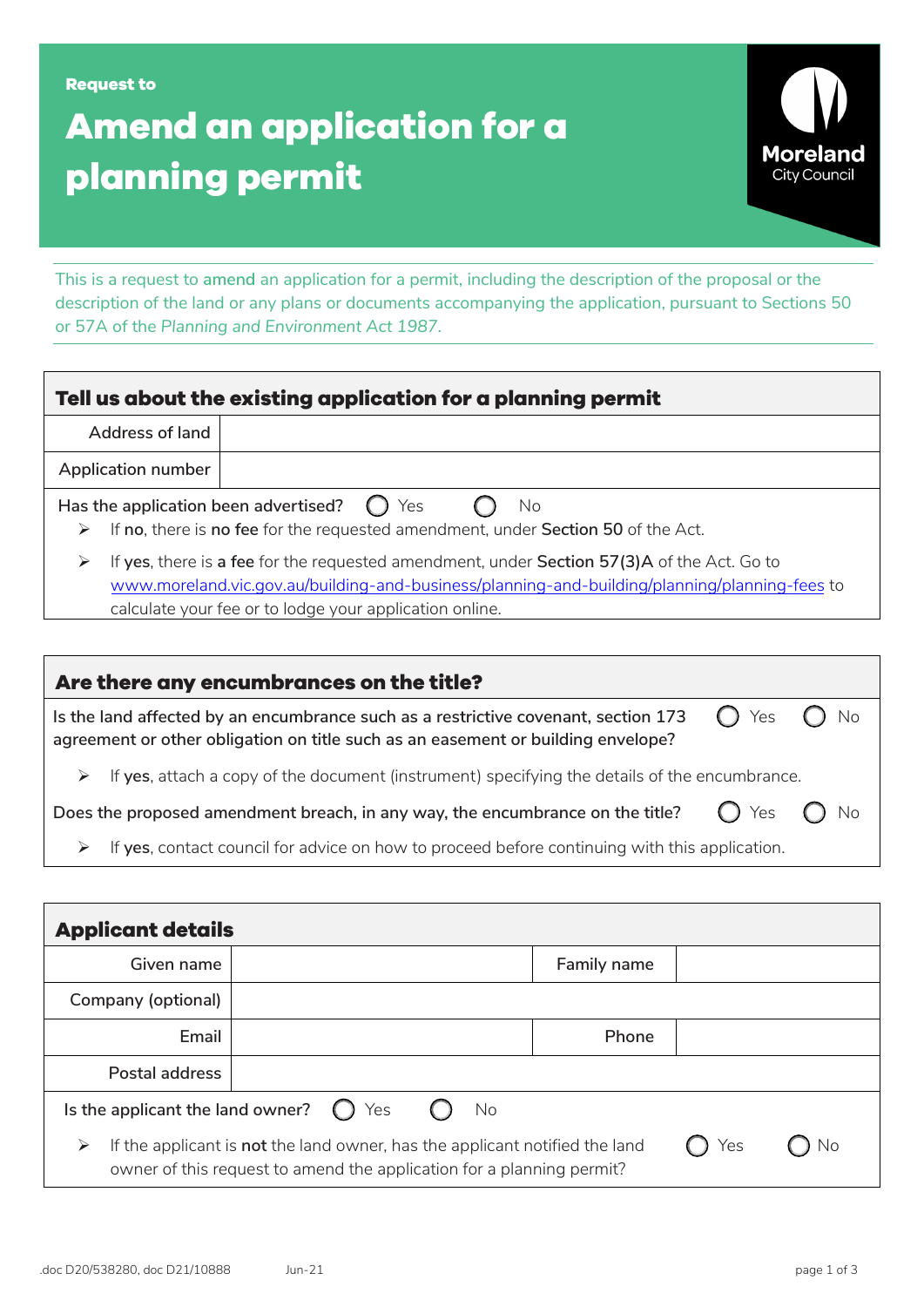**Request to**

# **Amend an application for a planning permit**



This is a request to **amend** an application for a permit, including the description of the proposal or the description of the land or any plans or documents accompanying the application, pursuant to Sections 50 or 57A of the *Planning and Environment Act 1987*.

| Tell us about the existing application for a planning permit                                                                                              |                                                                                                                                                                                             |  |  |  |  |
|-----------------------------------------------------------------------------------------------------------------------------------------------------------|---------------------------------------------------------------------------------------------------------------------------------------------------------------------------------------------|--|--|--|--|
| <b>Address of land</b>                                                                                                                                    |                                                                                                                                                                                             |  |  |  |  |
| Application number                                                                                                                                        |                                                                                                                                                                                             |  |  |  |  |
| Has the application been advertised? $\bigcirc$ Yes<br><b>No</b><br>If no, there is no fee for the requested amendment, under Section 50 of the Act.<br>➤ |                                                                                                                                                                                             |  |  |  |  |
| ➤                                                                                                                                                         | If yes, there is a fee for the requested amendment, under Section 57(3)A of the Act. Go to<br>www.moreland.vic.gov.au/building-and-business/planning-and-building/planning/planning-fees to |  |  |  |  |

calculate your fee [or to lodge your applica](https://www.moreland.vic.gov.au/planning-fees)tion online.

| Are there any encumbrances on the title?                                                                                                                                                                |  |
|---------------------------------------------------------------------------------------------------------------------------------------------------------------------------------------------------------|--|
| Yes<br>Is the land affected by an encumbrance such as a restrictive covenant, section 173<br>$\left( \quad \right)$<br>agreement or other obligation on title such as an easement or building envelope? |  |
| If yes, attach a copy of the document (instrument) specifying the details of the encumbrance.<br>➤                                                                                                      |  |
| Yes<br>Does the proposed amendment breach, in any way, the encumbrance on the title?                                                                                                                    |  |
| If yes, contact council for advice on how to proceed before continuing with this application.                                                                                                           |  |
|                                                                                                                                                                                                         |  |

| <b>Applicant details</b>                                                                                                                                         |  |             |  |    |  |
|------------------------------------------------------------------------------------------------------------------------------------------------------------------|--|-------------|--|----|--|
| Given name                                                                                                                                                       |  | Family name |  |    |  |
| Company (optional)                                                                                                                                               |  |             |  |    |  |
| Email                                                                                                                                                            |  | Phone       |  |    |  |
| Postal address                                                                                                                                                   |  |             |  |    |  |
| Is the applicant the land owner? $\bigcirc$ Yes<br>No                                                                                                            |  |             |  |    |  |
| If the applicant is <b>not</b> the land owner, has the applicant notified the land<br>➤<br>owner of this request to amend the application for a planning permit? |  |             |  | No |  |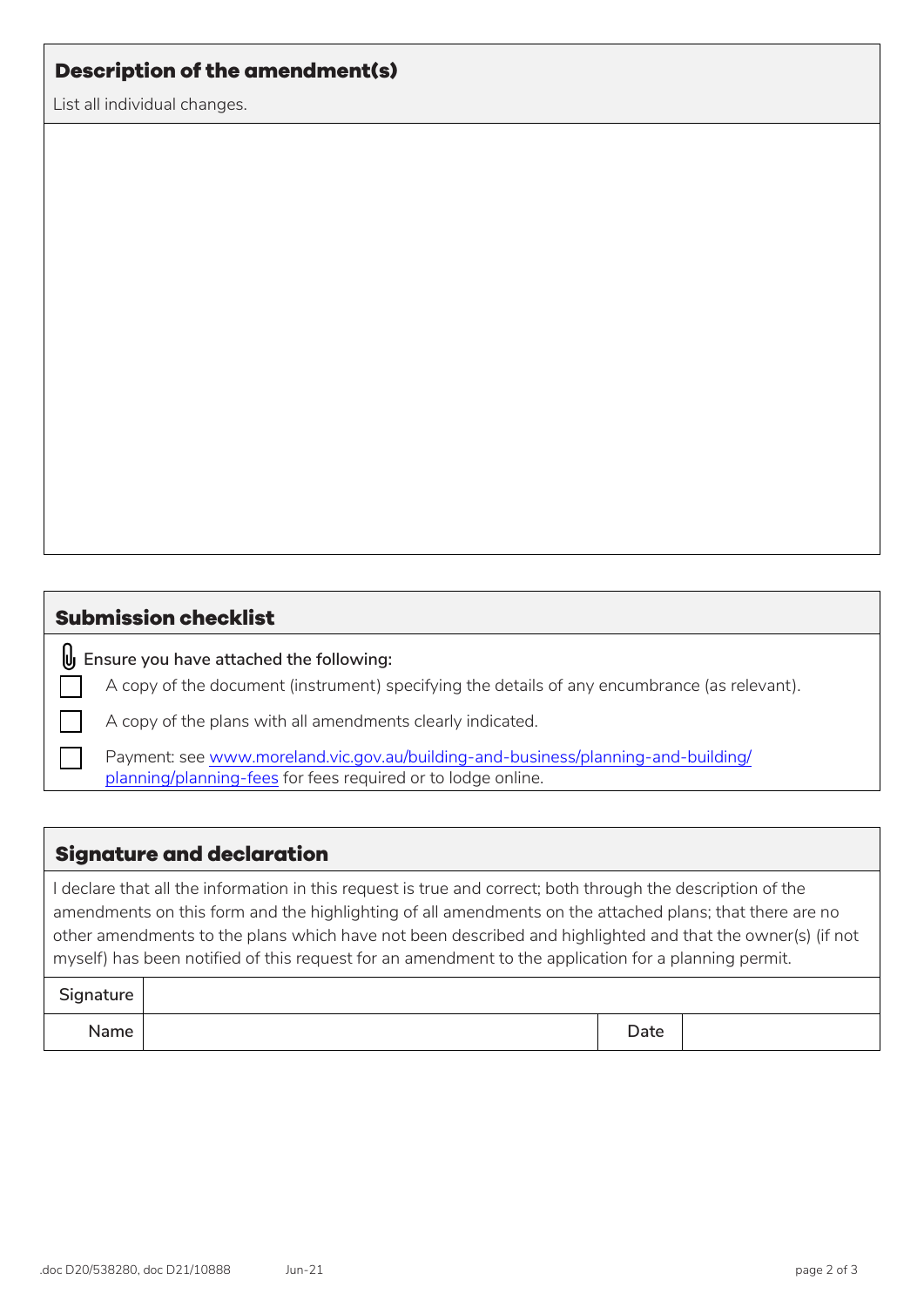#### **Description of the amendment(s)**

List all individual changes.

| <b>Submission checklist</b> |                                                                                                                                                   |  |  |  |
|-----------------------------|---------------------------------------------------------------------------------------------------------------------------------------------------|--|--|--|
| ĮUJ.                        | Ensure you have attached the following:                                                                                                           |  |  |  |
|                             | A copy of the document (instrument) specifying the details of any encumbrance (as relevant).                                                      |  |  |  |
|                             | A copy of the plans with all amendments clearly indicated.                                                                                        |  |  |  |
|                             | Payment: see www.moreland.vic.gov.au/building-and-business/planning-and-building/<br>planning/planning-fees for fees required or to lodge online. |  |  |  |

### **Signature and declaration**

I declare that all the information in this request is true and correct; both through the description of the amendments on this form and the highlighting of all amendments on the attached plans; that there are no other amendments to the plans which have not been described and highlighted and that the owner(s) (if not myself) has been notified of this request for an amendment to the application for a planning permit.

| Signature |      |  |
|-----------|------|--|
| Name      | Date |  |